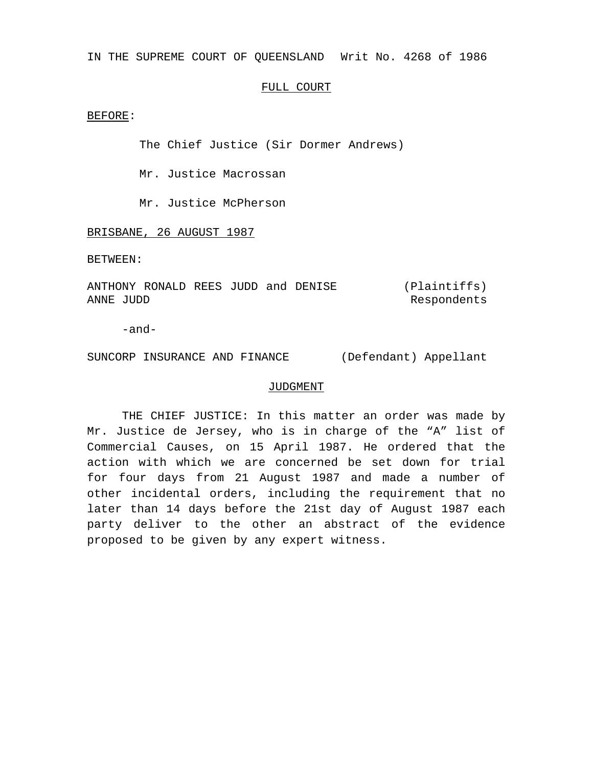IN THE SUPREME COURT OF QUEENSLAND Writ No. 4268 of 1986

## FULL COURT

## BEFORE:

The Chief Justice (Sir Dormer Andrews)

Mr. Justice Macrossan

Mr. Justice McPherson

BRISBANE, 26 AUGUST 1987

BETWEEN:

ANTHONY RONALD REES JUDD and DENISE ANNE JUDD (Plaintiffs) Respondents

-and-

SUNCORP INSURANCE AND FINANCE (Defendant) Appellant

## JUDGMENT

THE CHIEF JUSTICE: In this matter an order was made by Mr. Justice de Jersey, who is in charge of the "A" list of Commercial Causes, on 15 April 1987. He ordered that the action with which we are concerned be set down for trial for four days from 21 August 1987 and made a number of other incidental orders, including the requirement that no later than 14 days before the 21st day of August 1987 each party deliver to the other an abstract of the evidence proposed to be given by any expert witness.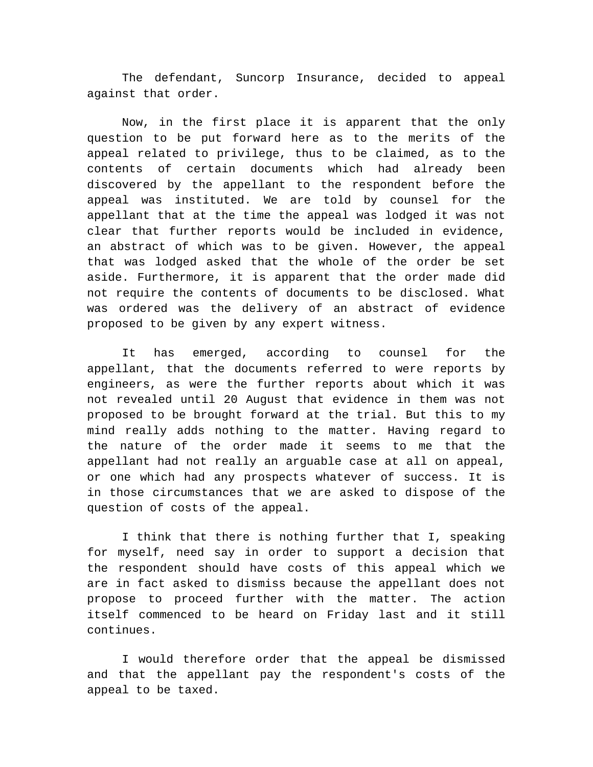The defendant, Suncorp Insurance, decided to appeal against that order.

Now, in the first place it is apparent that the only question to be put forward here as to the merits of the appeal related to privilege, thus to be claimed, as to the contents of certain documents which had already been discovered by the appellant to the respondent before the appeal was instituted. We are told by counsel for the appellant that at the time the appeal was lodged it was not clear that further reports would be included in evidence, an abstract of which was to be given. However, the appeal that was lodged asked that the whole of the order be set aside. Furthermore, it is apparent that the order made did not require the contents of documents to be disclosed. What was ordered was the delivery of an abstract of evidence proposed to be given by any expert witness.

It has emerged, according to counsel for the appellant, that the documents referred to were reports by engineers, as were the further reports about which it was not revealed until 20 August that evidence in them was not proposed to be brought forward at the trial. But this to my mind really adds nothing to the matter. Having regard to the nature of the order made it seems to me that the appellant had not really an arguable case at all on appeal, or one which had any prospects whatever of success. It is in those circumstances that we are asked to dispose of the question of costs of the appeal.

I think that there is nothing further that I, speaking for myself, need say in order to support a decision that the respondent should have costs of this appeal which we are in fact asked to dismiss because the appellant does not propose to proceed further with the matter. The action itself commenced to be heard on Friday last and it still continues.

I would therefore order that the appeal be dismissed and that the appellant pay the respondent's costs of the appeal to be taxed.